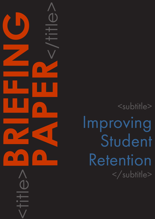<subtitle> Improving Student Retention </subtitle>

<title>**BRIEFING**

**PAPER**<br>CONSTRAINS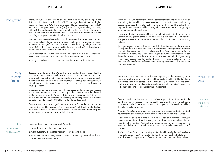# CAPDM Ltd. CAPDM Ltd.

Background Improving student retention is still an important issue for any and all open and distance education providers. The OECD average dropout rate for higher education students is 30%. The UK's average HE non-completion rate in 2014 was 18%. The Open University UK (OU), Britain's largest teaching institution, with 173,889 undergraduate students enrolled in the year 2016, at one point had 25 per cent of new students and 22 per cent of experienced students choosing to dropout during the duration of a course.

> Low retention rates can be used as a public measure of poor performance, and can be potentially damaging to academic reputations. The associated loss of revenues can be significant too. One UK distance learning college with more than 4000 students recently measured its drop-out rate at 15%. Halving this rate would increase their annual income by £750,000.

> On a personal level, tutors and students can take it as a blow to their selfesteem, and novice students are particularly vulnerable to this issue.

So, why do students drop out, and what can be done to reduce the rate?

Research undertaken by the OU on their own student base suggests that the vast majority who withdraw still aspire to earn a credit for the course/award upon which they embarked. Their reasons for dropping out however are multidimensional and varied. Not all are financial. Declining personalisation with tutors being allocated to cover more students is another trend that is currently causing concern.

Inappropriate course choice is one of the main recorded non-financial reasons for dropout, but the main reason stated by students themselves is that they fall behind in the coursework. Surveys of students who do complete OU courses, have found that 23% say the amount of time spent studying was a lot more than expected, and the majority (57%) fell behind the study calendar.

Tutorial quality is another significant issue. In one OU study, 18 per cent of students described themselves as "very dissatisfied" with their tutorials, the third most cited reason for student dissatisfaction. Six per cent stated they dropped out because they were not happy with their tutor.

There are three main sources of work for students:

1. work derived from the course materials;

2. work students wish to set for themselves (revision etc.); and

3. work involved in learning to study, write academically, research and use virtual learning environments

What can be done

The number of study hours required by the course materials, and the work involved in reaching the identified learning outcomes, is core to the workload for any course. A significant mismatch between the stated hours and the actual hours required by the materials will lead to significant stress for students struggling to keep to an unrealistic study plan.

Inherent difficulties or complexities in the subject matter itself; poor clarity, usability or navigability of the materials; excessive number and use of activities like spreadsheet use or internet searches, can also contribute to students falling behind.

Time management is implicitly bound up with the learning success (Thorpe, Mary. 2007) and there is a need to ensure that the student's perceptions of expected and actual workload match as closely as possible. Planning and managing the study effort efficiently helps, as does coping quickly with any mismatch between the student's own pace and the pace set by the educators. A lack of good study tools such as course calendars and study guides will create problems, as will the provision of an ineffective effective virtual learning environment that steals time and increases stress.

There is no one solution to the problem of improving student retention, so the best approach is to adopt strategies that help students get the right educational experience from initial course selection through to graduation. In the rest of this briefing paper we will dwell upon two significant areas for potential improvement – the materials, and the online learning environment.

Accurate and complete *course descriptions*, representative taster materials, good alignment with industry relevant qualifications, and convenient delivery in a variety of media formats such as electronic, paper, and face-to-face, all help the initial selection process.

A *student induction programme* can also serve to welcome and orientate both new students, and those who return after taking a break from their studies.

*Diagnostic materials* have long been used in open and distance learning to better advise students about their study choices. There are essentially two kinds generic, to test applicants' suitability for higher education, and course-specific, to test suitability for a particular course. Both can be either externally or selfassessed.

A *structural analysis* of your existing materials will identify inconsistencies in reading times required. Analysis of student and tutor feedback will help to identify specific areas for improvement. The goal is to ensure the materials contribute

Why students drop out

The coursework contribution

Improving the course materials